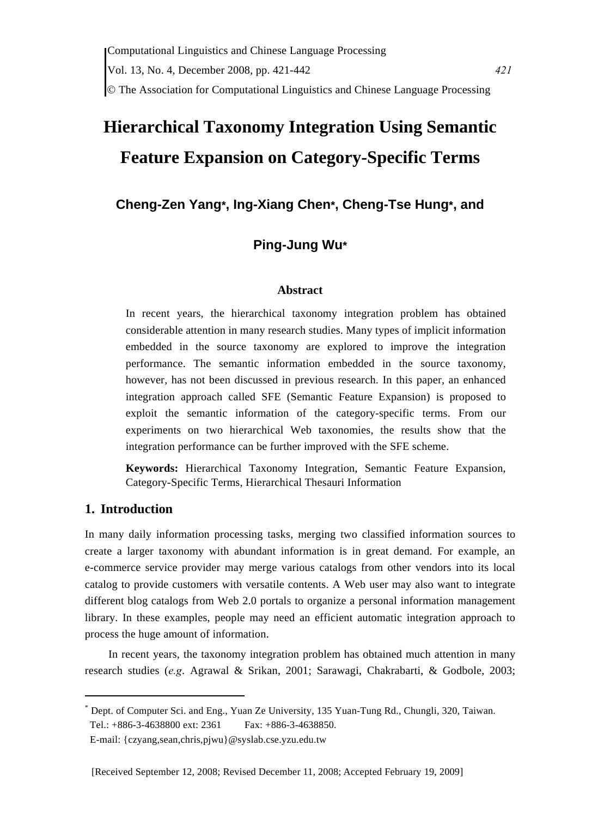# **Hierarchical Taxonomy Integration Using Semantic Feature Expansion on Category-Specific Terms**

# **Cheng-Zen Yang\*, Ing-Xiang Chen\*, Cheng-Tse Hung\*, and**

# **Ping-Jung Wu\***

## **Abstract**

In recent years, the hierarchical taxonomy integration problem has obtained considerable attention in many research studies. Many types of implicit information embedded in the source taxonomy are explored to improve the integration performance. The semantic information embedded in the source taxonomy, however, has not been discussed in previous research. In this paper, an enhanced integration approach called SFE (Semantic Feature Expansion) is proposed to exploit the semantic information of the category-specific terms. From our experiments on two hierarchical Web taxonomies, the results show that the integration performance can be further improved with the SFE scheme.

**Keywords:** Hierarchical Taxonomy Integration, Semantic Feature Expansion, Category-Specific Terms, Hierarchical Thesauri Information

# **1. Introduction**

In many daily information processing tasks, merging two classified information sources to create a larger taxonomy with abundant information is in great demand. For example, an e-commerce service provider may merge various catalogs from other vendors into its local catalog to provide customers with versatile contents. A Web user may also want to integrate different blog catalogs from Web 2.0 portals to organize a personal information management library. In these examples, people may need an efficient automatic integration approach to process the huge amount of information.

In recent years, the taxonomy integration problem has obtained much attention in many research studies (*e.g*. Agrawal & Srikan, 2001; Sarawagi, Chakrabarti, & Godbole, 2003;

<sup>\*</sup> Dept. of Computer Sci. and Eng., Yuan Ze University, 135 Yuan-Tung Rd., Chungli, 320, Taiwan. Tel.: +886-3-4638800 ext: 2361 Fax: +886-3-4638850.

E-mail: {czyang,sean,chris,pjwu}@syslab.cse.yzu.edu.tw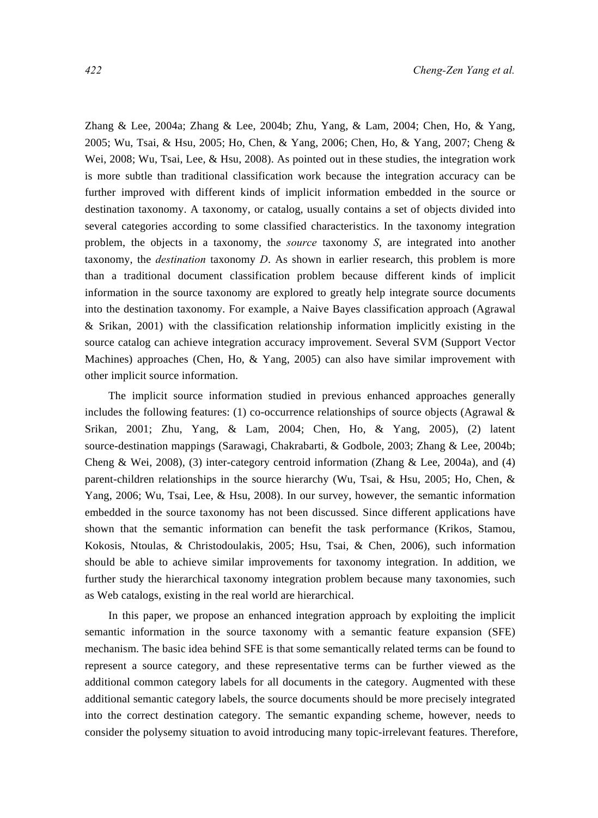Zhang & Lee, 2004a; Zhang & Lee, 2004b; Zhu, Yang, & Lam, 2004; Chen, Ho, & Yang, 2005; Wu, Tsai, & Hsu, 2005; Ho, Chen, & Yang, 2006; Chen, Ho, & Yang, 2007; Cheng & Wei, 2008; Wu, Tsai, Lee, & Hsu, 2008). As pointed out in these studies, the integration work is more subtle than traditional classification work because the integration accuracy can be further improved with different kinds of implicit information embedded in the source or destination taxonomy. A taxonomy, or catalog, usually contains a set of objects divided into several categories according to some classified characteristics. In the taxonomy integration problem, the objects in a taxonomy, the *source* taxonomy *S*, are integrated into another taxonomy, the *destination* taxonomy *D*. As shown in earlier research, this problem is more than a traditional document classification problem because different kinds of implicit information in the source taxonomy are explored to greatly help integrate source documents into the destination taxonomy. For example, a Naive Bayes classification approach (Agrawal & Srikan, 2001) with the classification relationship information implicitly existing in the source catalog can achieve integration accuracy improvement. Several SVM (Support Vector Machines) approaches (Chen, Ho, & Yang, 2005) can also have similar improvement with other implicit source information.

The implicit source information studied in previous enhanced approaches generally includes the following features: (1) co-occurrence relationships of source objects (Agrawal  $\&$ Srikan, 2001; Zhu, Yang, & Lam, 2004; Chen, Ho, & Yang, 2005), (2) latent source-destination mappings (Sarawagi, Chakrabarti, & Godbole, 2003; Zhang & Lee, 2004b; Cheng & Wei, 2008), (3) inter-category centroid information (Zhang & Lee, 2004a), and (4) parent-children relationships in the source hierarchy (Wu, Tsai, & Hsu, 2005; Ho, Chen, & Yang, 2006; Wu, Tsai, Lee, & Hsu, 2008). In our survey, however, the semantic information embedded in the source taxonomy has not been discussed. Since different applications have shown that the semantic information can benefit the task performance (Krikos, Stamou, Kokosis, Ntoulas, & Christodoulakis, 2005; Hsu, Tsai, & Chen, 2006), such information should be able to achieve similar improvements for taxonomy integration. In addition, we further study the hierarchical taxonomy integration problem because many taxonomies, such as Web catalogs, existing in the real world are hierarchical.

In this paper, we propose an enhanced integration approach by exploiting the implicit semantic information in the source taxonomy with a semantic feature expansion (SFE) mechanism. The basic idea behind SFE is that some semantically related terms can be found to represent a source category, and these representative terms can be further viewed as the additional common category labels for all documents in the category. Augmented with these additional semantic category labels, the source documents should be more precisely integrated into the correct destination category. The semantic expanding scheme, however, needs to consider the polysemy situation to avoid introducing many topic-irrelevant features. Therefore,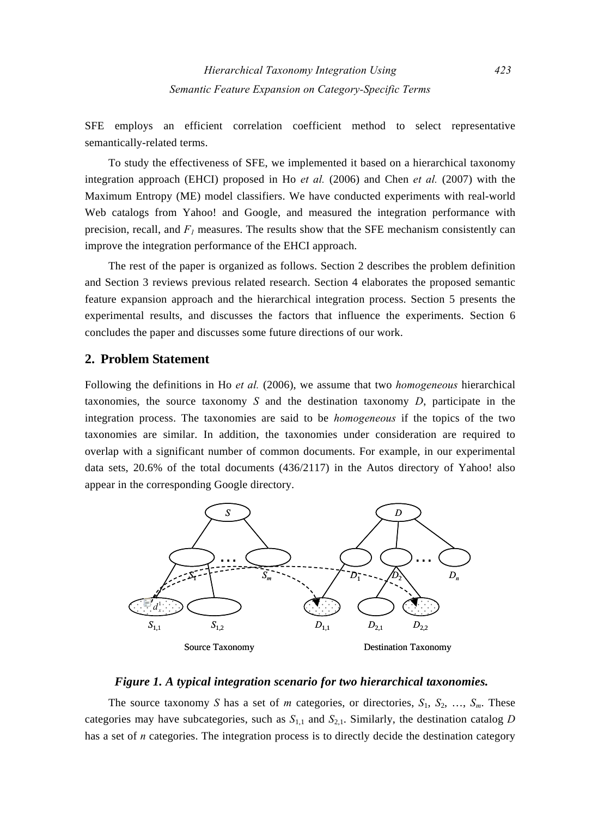SFE employs an efficient correlation coefficient method to select representative semantically-related terms.

To study the effectiveness of SFE, we implemented it based on a hierarchical taxonomy integration approach (EHCI) proposed in Ho *et al.* (2006) and Chen *et al.* (2007) with the Maximum Entropy (ME) model classifiers. We have conducted experiments with real-world Web catalogs from Yahoo! and Google, and measured the integration performance with precision, recall, and  $F<sub>I</sub>$  measures. The results show that the SFE mechanism consistently can improve the integration performance of the EHCI approach.

The rest of the paper is organized as follows. Section 2 describes the problem definition and Section 3 reviews previous related research. Section 4 elaborates the proposed semantic feature expansion approach and the hierarchical integration process. Section 5 presents the experimental results, and discusses the factors that influence the experiments. Section 6 concludes the paper and discusses some future directions of our work.

## **2. Problem Statement**

Following the definitions in Ho *et al.* (2006), we assume that two *homogeneous* hierarchical taxonomies, the source taxonomy *S* and the destination taxonomy *D*, participate in the integration process. The taxonomies are said to be *homogeneous* if the topics of the two taxonomies are similar. In addition, the taxonomies under consideration are required to overlap with a significant number of common documents. For example, in our experimental data sets, 20.6% of the total documents (436/2117) in the Autos directory of Yahoo! also appear in the corresponding Google directory.



#### *Figure 1. A typical integration scenario for two hierarchical taxonomies.*

The source taxonomy *S* has a set of *m* categories, or directories,  $S_1$ ,  $S_2$ , ...,  $S_m$ . These categories may have subcategories, such as  $S_{1,1}$  and  $S_{2,1}$ . Similarly, the destination catalog *D* has a set of *n* categories. The integration process is to directly decide the destination category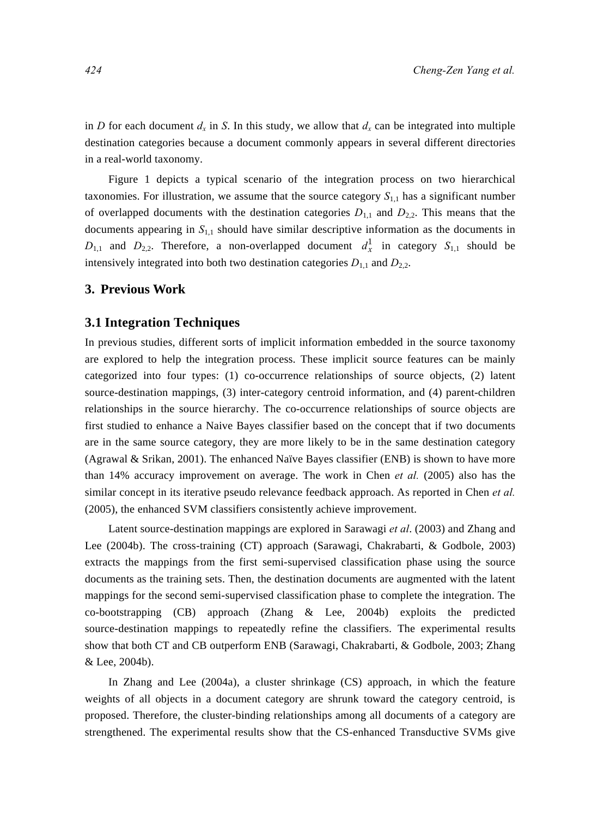in *D* for each document  $d_x$  in *S*. In this study, we allow that  $d_x$  can be integrated into multiple destination categories because a document commonly appears in several different directories in a real-world taxonomy.

Figure 1 depicts a typical scenario of the integration process on two hierarchical taxonomies. For illustration, we assume that the source category  $S<sub>1,1</sub>$  has a significant number of overlapped documents with the destination categories  $D_{1,1}$  and  $D_{2,2}$ . This means that the documents appearing in  $S<sub>1,1</sub>$  should have similar descriptive information as the documents in  $D_{1,1}$  and  $D_{2,2}$ . Therefore, a non-overlapped document  $d_x^1$  in category  $S_{1,1}$  should be intensively integrated into both two destination categories  $D_{1,1}$  and  $D_{2,2}$ .

#### **3. Previous Work**

#### **3.1 Integration Techniques**

In previous studies, different sorts of implicit information embedded in the source taxonomy are explored to help the integration process. These implicit source features can be mainly categorized into four types: (1) co-occurrence relationships of source objects, (2) latent source-destination mappings, (3) inter-category centroid information, and (4) parent-children relationships in the source hierarchy. The co-occurrence relationships of source objects are first studied to enhance a Naive Bayes classifier based on the concept that if two documents are in the same source category, they are more likely to be in the same destination category (Agrawal & Srikan, 2001). The enhanced Naïve Bayes classifier (ENB) is shown to have more than 14% accuracy improvement on average. The work in Chen *et al.* (2005) also has the similar concept in its iterative pseudo relevance feedback approach. As reported in Chen *et al.* (2005), the enhanced SVM classifiers consistently achieve improvement.

Latent source-destination mappings are explored in Sarawagi *et al*. (2003) and Zhang and Lee (2004b). The cross-training (CT) approach (Sarawagi, Chakrabarti, & Godbole, 2003) extracts the mappings from the first semi-supervised classification phase using the source documents as the training sets. Then, the destination documents are augmented with the latent mappings for the second semi-supervised classification phase to complete the integration. The co-bootstrapping (CB) approach (Zhang & Lee, 2004b) exploits the predicted source-destination mappings to repeatedly refine the classifiers. The experimental results show that both CT and CB outperform ENB (Sarawagi, Chakrabarti, & Godbole, 2003; Zhang & Lee, 2004b).

In Zhang and Lee (2004a), a cluster shrinkage (CS) approach, in which the feature weights of all objects in a document category are shrunk toward the category centroid, is proposed. Therefore, the cluster-binding relationships among all documents of a category are strengthened. The experimental results show that the CS-enhanced Transductive SVMs give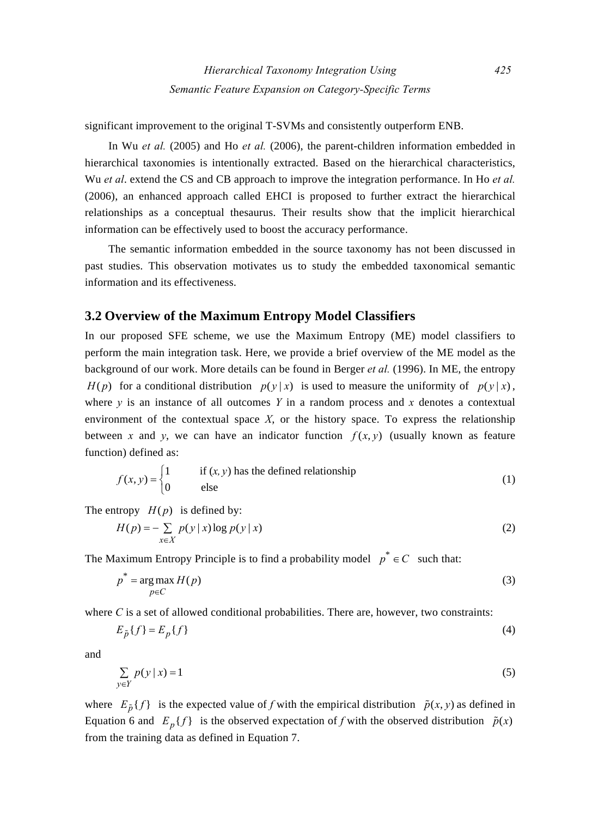significant improvement to the original T-SVMs and consistently outperform ENB.

In Wu *et al.* (2005) and Ho *et al.* (2006), the parent-children information embedded in hierarchical taxonomies is intentionally extracted. Based on the hierarchical characteristics, Wu *et al*. extend the CS and CB approach to improve the integration performance. In Ho *et al.* (2006), an enhanced approach called EHCI is proposed to further extract the hierarchical relationships as a conceptual thesaurus. Their results show that the implicit hierarchical information can be effectively used to boost the accuracy performance.

The semantic information embedded in the source taxonomy has not been discussed in past studies. This observation motivates us to study the embedded taxonomical semantic information and its effectiveness.

#### **3.2 Overview of the Maximum Entropy Model Classifiers**

In our proposed SFE scheme, we use the Maximum Entropy (ME) model classifiers to perform the main integration task. Here, we provide a brief overview of the ME model as the background of our work. More details can be found in Berger *et al.* (1996). In ME, the entropy  $H(p)$  for a conditional distribution  $p(y|x)$  is used to measure the uniformity of  $p(y|x)$ , where  $\gamma$  is an instance of all outcomes  $\gamma$  in a random process and  $\chi$  denotes a contextual environment of the contextual space *X*, or the history space. To express the relationship between x and y, we can have an indicator function  $f(x, y)$  (usually known as feature function) defined as:

$$
f(x, y) = \begin{cases} 1 & \text{if } (x, y) \text{ has the defined relationship} \\ 0 & \text{else} \end{cases}
$$
 (1)

The entropy  $H(p)$  is defined by:

$$
H(p) = -\sum_{x \in X} p(y | x) \log p(y | x)
$$
 (2)

The Maximum Entropy Principle is to find a probability model  $p^* \in C$  such that:

$$
p^* = \underset{p \in C}{\arg \max} H(p) \tag{3}
$$

where *C* is a set of allowed conditional probabilities. There are, however, two constraints:

$$
E_{\tilde{p}}\{f\} = E_p\{f\} \tag{4}
$$

and

$$
\sum_{y \in Y} p(y | x) = 1 \tag{5}
$$

where  $E_{\tilde{p}}\{f\}$  is the expected value of *f* with the empirical distribution  $\tilde{p}(x, y)$  as defined in Equation 6 and  $E_p\{f\}$  is the observed expectation of *f* with the observed distribution  $\tilde{p}(x)$ from the training data as defined in Equation 7.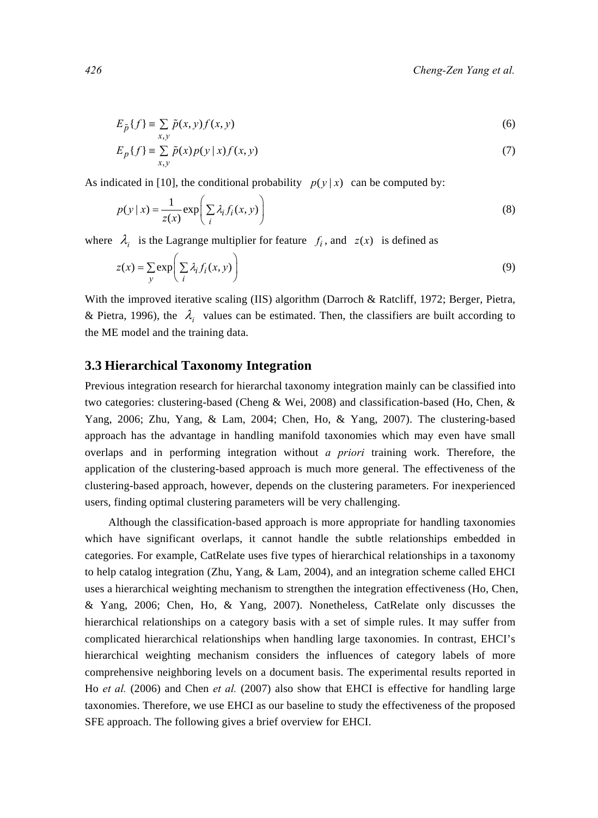$$
E_{\tilde{p}}\{f\} \equiv \sum_{x,y} \tilde{p}(x,y)f(x,y) \tag{6}
$$

$$
E_p\{f\} = \sum_{x,y}^{x,y} \tilde{p}(x)p(y|x)f(x,y)
$$
\n<sup>(7)</sup>

As indicated in [10], the conditional probability  $p(y|x)$  can be computed by:

$$
p(y \mid x) = \frac{1}{z(x)} \exp\left(\sum_{i} \lambda_i f_i(x, y)\right)
$$
\n(8)

where  $\lambda_i$  is the Lagrange multiplier for feature  $f_i$ , and  $z(x)$  is defined as

$$
z(x) = \sum_{y} \exp\left(\sum_{i} \lambda_i f_i(x, y)\right)
$$
 (9)

With the improved iterative scaling (IIS) algorithm (Darroch & Ratcliff, 1972; Berger, Pietra, & Pietra, 1996), the  $\lambda_i$  values can be estimated. Then, the classifiers are built according to the ME model and the training data.

#### **3.3 Hierarchical Taxonomy Integration**

Previous integration research for hierarchal taxonomy integration mainly can be classified into two categories: clustering-based (Cheng & Wei, 2008) and classification-based (Ho, Chen, & Yang, 2006; Zhu, Yang, & Lam, 2004; Chen, Ho, & Yang, 2007). The clustering-based approach has the advantage in handling manifold taxonomies which may even have small overlaps and in performing integration without *a priori* training work. Therefore, the application of the clustering-based approach is much more general. The effectiveness of the clustering-based approach, however, depends on the clustering parameters. For inexperienced users, finding optimal clustering parameters will be very challenging.

Although the classification-based approach is more appropriate for handling taxonomies which have significant overlaps, it cannot handle the subtle relationships embedded in categories. For example, CatRelate uses five types of hierarchical relationships in a taxonomy to help catalog integration (Zhu, Yang, & Lam, 2004), and an integration scheme called EHCI uses a hierarchical weighting mechanism to strengthen the integration effectiveness (Ho, Chen, & Yang, 2006; Chen, Ho, & Yang, 2007). Nonetheless, CatRelate only discusses the hierarchical relationships on a category basis with a set of simple rules. It may suffer from complicated hierarchical relationships when handling large taxonomies. In contrast, EHCI's hierarchical weighting mechanism considers the influences of category labels of more comprehensive neighboring levels on a document basis. The experimental results reported in Ho *et al.* (2006) and Chen *et al.* (2007) also show that EHCI is effective for handling large taxonomies. Therefore, we use EHCI as our baseline to study the effectiveness of the proposed SFE approach. The following gives a brief overview for EHCI.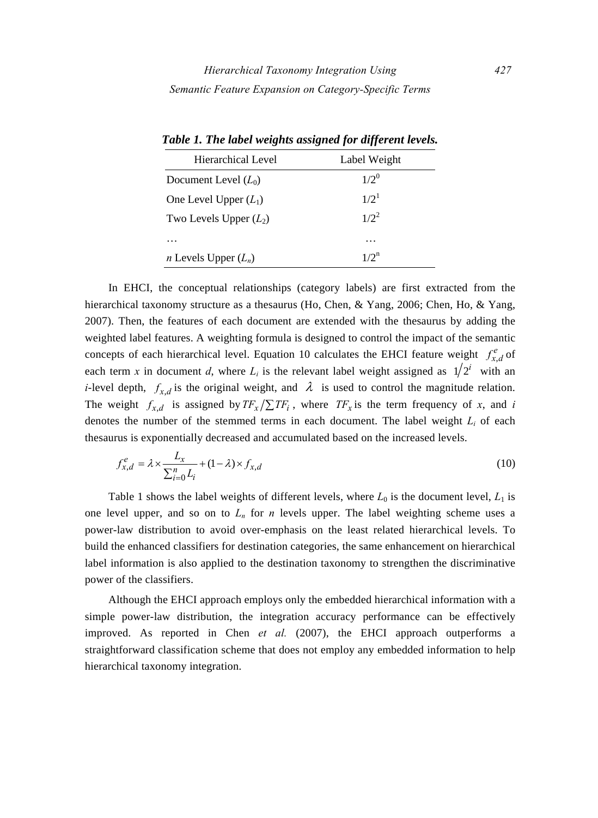| Hierarchical Level            | Label Weight     |
|-------------------------------|------------------|
| Document Level $(L_0)$        | $1/2^{0}$        |
| One Level Upper $(L_1)$       | $1/2^1$          |
| Two Levels Upper $(L_2)$      | $1/2^2$          |
| .                             | .                |
| <i>n</i> Levels Upper $(L_n)$ | 1/2 <sup>h</sup> |

*Table 1. The label weights assigned for different levels.* 

In EHCI, the conceptual relationships (category labels) are first extracted from the hierarchical taxonomy structure as a thesaurus (Ho, Chen, & Yang, 2006; Chen, Ho, & Yang, 2007). Then, the features of each document are extended with the thesaurus by adding the weighted label features. A weighting formula is designed to control the impact of the semantic concepts of each hierarchical level. Equation 10 calculates the EHCI feature weight  $f_{x,d}^e$  of each term *x* in document *d*, where  $L_i$  is the relevant label weight assigned as  $1/2^i$  with an *i*-level depth,  $f_{x,d}$  is the original weight, and  $\lambda$  is used to control the magnitude relation. The weight  $f_{x,d}$  is assigned by  $TF_x/\sum TF_i$ , where  $TF_x$  is the term frequency of *x*, and *i* denotes the number of the stemmed terms in each document. The label weight *Li* of each thesaurus is exponentially decreased and accumulated based on the increased levels.

$$
f_{x,d}^e = \lambda \times \frac{L_x}{\sum_{i=0}^n L_i} + (1 - \lambda) \times f_{x,d}
$$
\n(10)

Table 1 shows the label weights of different levels, where  $L_0$  is the document level,  $L_1$  is one level upper, and so on to  $L_n$  for *n* levels upper. The label weighting scheme uses a power-law distribution to avoid over-emphasis on the least related hierarchical levels. To build the enhanced classifiers for destination categories, the same enhancement on hierarchical label information is also applied to the destination taxonomy to strengthen the discriminative power of the classifiers.

Although the EHCI approach employs only the embedded hierarchical information with a simple power-law distribution, the integration accuracy performance can be effectively improved. As reported in Chen *et al.* (2007), the EHCI approach outperforms a straightforward classification scheme that does not employ any embedded information to help hierarchical taxonomy integration.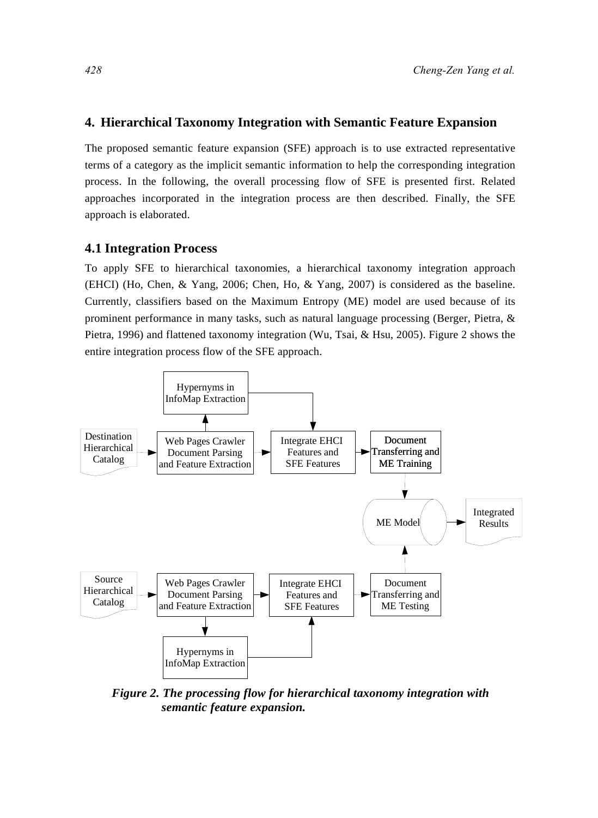#### **4. Hierarchical Taxonomy Integration with Semantic Feature Expansion**

The proposed semantic feature expansion (SFE) approach is to use extracted representative terms of a category as the implicit semantic information to help the corresponding integration process. In the following, the overall processing flow of SFE is presented first. Related approaches incorporated in the integration process are then described. Finally, the SFE approach is elaborated.

#### **4.1 Integration Process**

To apply SFE to hierarchical taxonomies, a hierarchical taxonomy integration approach (EHCI) (Ho, Chen, & Yang, 2006; Chen, Ho, & Yang, 2007) is considered as the baseline. Currently, classifiers based on the Maximum Entropy (ME) model are used because of its prominent performance in many tasks, such as natural language processing (Berger, Pietra, & Pietra, 1996) and flattened taxonomy integration (Wu, Tsai, & Hsu, 2005). Figure 2 shows the entire integration process flow of the SFE approach.



*Figure 2. The processing flow for hierarchical taxonomy integration with semantic feature expansion.*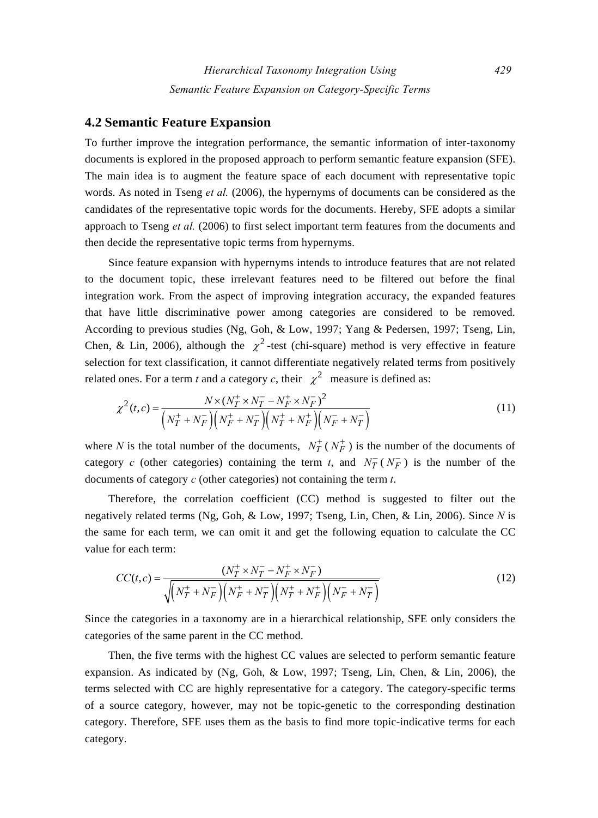## **4.2 Semantic Feature Expansion**

To further improve the integration performance, the semantic information of inter-taxonomy documents is explored in the proposed approach to perform semantic feature expansion (SFE). The main idea is to augment the feature space of each document with representative topic words. As noted in Tseng *et al.* (2006), the hypernyms of documents can be considered as the candidates of the representative topic words for the documents. Hereby, SFE adopts a similar approach to Tseng *et al.* (2006) to first select important term features from the documents and then decide the representative topic terms from hypernyms.

Since feature expansion with hypernyms intends to introduce features that are not related to the document topic, these irrelevant features need to be filtered out before the final integration work. From the aspect of improving integration accuracy, the expanded features that have little discriminative power among categories are considered to be removed. According to previous studies (Ng, Goh, & Low, 1997; Yang & Pedersen, 1997; Tseng, Lin, Chen, & Lin, 2006), although the  $\gamma^2$ -test (chi-square) method is very effective in feature selection for text classification, it cannot differentiate negatively related terms from positively related ones. For a term *t* and a category *c*, their  $\chi^2$  measure is defined as:

$$
\chi^{2}(t,c) = \frac{N \times (N_{T}^{+} \times N_{T}^{-} - N_{F}^{+} \times N_{F}^{-})^{2}}{\left(N_{T}^{+} + N_{F}^{-}\right)\left(N_{F}^{+} + N_{T}^{-}\right)\left(N_{T}^{+} + N_{F}^{+}\right)\left(N_{F}^{-} + N_{T}^{-}\right)}
$$
(11)

where *N* is the total number of the documents,  $N_T^+(N_F^+)$  is the number of the documents of category *c* (other categories) containing the term *t*, and  $N_T^-(N_F^-)$  is the number of the documents of category *c* (other categories) not containing the term *t*.

Therefore, the correlation coefficient (CC) method is suggested to filter out the negatively related terms (Ng, Goh, & Low, 1997; Tseng, Lin, Chen, & Lin, 2006). Since *N* is the same for each term, we can omit it and get the following equation to calculate the CC value for each term:

$$
CC(t,c) = \frac{(N_T^+ \times N_T^- - N_F^+ \times N_F^-)}{\sqrt{\left(N_T^+ + N_F^- \right) \left(N_F^+ + N_T^- \right) \left(N_T^+ + N_F^+ \right) \left(N_F^- + N_T^- \right)}}
$$
(12)

Since the categories in a taxonomy are in a hierarchical relationship, SFE only considers the categories of the same parent in the CC method.

Then, the five terms with the highest CC values are selected to perform semantic feature expansion. As indicated by (Ng, Goh, & Low, 1997; Tseng, Lin, Chen, & Lin, 2006), the terms selected with CC are highly representative for a category. The category-specific terms of a source category, however, may not be topic-genetic to the corresponding destination category. Therefore, SFE uses them as the basis to find more topic-indicative terms for each category.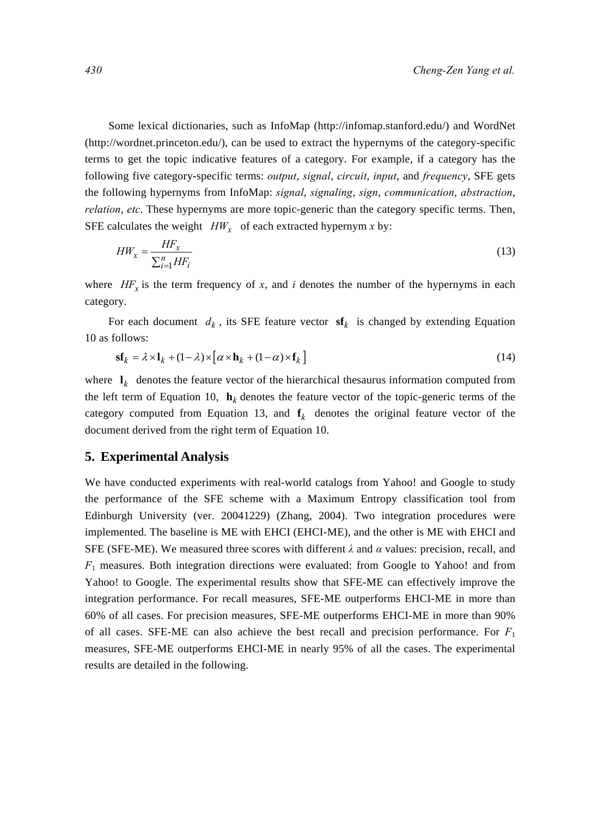Some lexical dictionaries, such as InfoMap (http://infomap.stanford.edu/) and WordNet (http://wordnet.princeton.edu/), can be used to extract the hypernyms of the category-specific terms to get the topic indicative features of a category. For example, if a category has the following five category-specific terms: *output*, *signal*, *circuit*, *input*, and *frequency*, SFE gets the following hypernyms from InfoMap: *signal*, *signaling*, *sign*, *communication*, *abstraction*, *relation*, *etc*. These hypernyms are more topic-generic than the category specific terms. Then, SFE calculates the weight  $HW_x$  of each extracted hypernym *x* by:

$$
HW_x = \frac{HF_x}{\sum_{i=1}^n HF_i}
$$
\n<sup>(13)</sup>

where  $HF_x$  is the term frequency of x, and *i* denotes the number of the hypernyms in each category.

For each document  $d_k$ , its SFE feature vector  $\mathbf{sf}_k$  is changed by extending Equation 10 as follows:

$$
\mathbf{sf}_k = \lambda \times \mathbf{l}_k + (1 - \lambda) \times [\alpha \times \mathbf{h}_k + (1 - \alpha) \times \mathbf{f}_k]
$$
\n(14)

where  $\mathbf{l}_k$  denotes the feature vector of the hierarchical thesaurus information computed from the left term of Equation 10,  $\mathbf{h}_k$  denotes the feature vector of the topic-generic terms of the category computed from Equation 13, and  $f_k$  denotes the original feature vector of the document derived from the right term of Equation 10.

#### **5. Experimental Analysis**

We have conducted experiments with real-world catalogs from Yahoo! and Google to study the performance of the SFE scheme with a Maximum Entropy classification tool from Edinburgh University (ver. 20041229) (Zhang, 2004). Two integration procedures were implemented. The baseline is ME with EHCI (EHCI-ME), and the other is ME with EHCI and SFE (SFE-ME). We measured three scores with different *λ* and *α* values: precision, recall, and *F*1 measures. Both integration directions were evaluated: from Google to Yahoo! and from Yahoo! to Google. The experimental results show that SFE-ME can effectively improve the integration performance. For recall measures, SFE-ME outperforms EHCI-ME in more than 60% of all cases. For precision measures, SFE-ME outperforms EHCI-ME in more than 90% of all cases. SFE-ME can also achieve the best recall and precision performance. For *F*<sup>1</sup> measures, SFE-ME outperforms EHCI-ME in nearly 95% of all the cases. The experimental results are detailed in the following.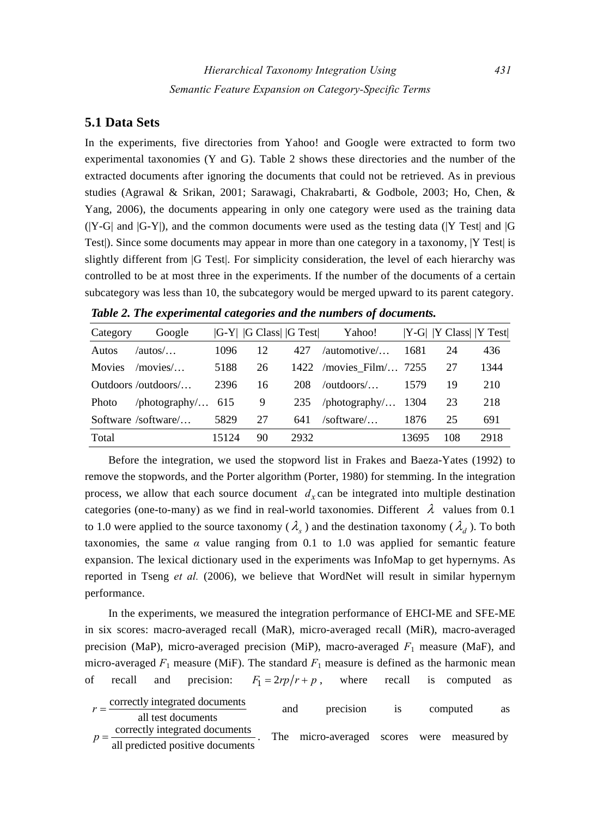#### **5.1 Data Sets**

In the experiments, five directories from Yahoo! and Google were extracted to form two experimental taxonomies (Y and G). Table 2 shows these directories and the number of the extracted documents after ignoring the documents that could not be retrieved. As in previous studies (Agrawal & Srikan, 2001; Sarawagi, Chakrabarti, & Godbole, 2003; Ho, Chen, & Yang, 2006), the documents appearing in only one category were used as the training data  $(|Y-G|$  and  $|G-Y|$ ), and the common documents were used as the testing data (|Y Test| and |G Test|). Since some documents may appear in more than one category in a taxonomy, |Y Test| is slightly different from |G Test|. For simplicity consideration, the level of each hierarchy was controlled to be at most three in the experiments. If the number of the documents of a certain subcategory was less than 10, the subcategory would be merged upward to its parent category.

| Category      | Google              |       | $ G-Y $ G Class G Test |      | Yahoo!                     |       | $ Y-G $ $ Y Class $ $ Y Test $ |      |
|---------------|---------------------|-------|------------------------|------|----------------------------|-------|--------------------------------|------|
| Autos         | $/autos/$           | 1096  | 12                     | 427  | /automotive/               | 1681  | 24                             | 436  |
| <b>Movies</b> | /movies/            | 5188  | 26                     | 1422 | /movies Film/ $7255$       |       | 27                             | 1344 |
|               | Outdoors/outdoors/  | 2396  | 16                     | 208  | /outdoors/ $\dots$         | 1579  | 19                             | 210  |
| Photo         | /photography/ $615$ |       | 9                      | 235  | /photography/ $\dots$ 1304 |       | 23                             | 218  |
|               | Software /software/ | 5829  | 27                     | 641  | /software/                 | 1876  | 25                             | 691  |
| Total         |                     | 15124 | 90                     | 2932 |                            | 13695 | 108                            | 2918 |

*Table 2. The experimental categories and the numbers of documents.* 

Before the integration, we used the stopword list in Frakes and Baeza-Yates (1992) to remove the stopwords, and the Porter algorithm (Porter, 1980) for stemming. In the integration process, we allow that each source document  $d<sub>x</sub>$  can be integrated into multiple destination categories (one-to-many) as we find in real-world taxonomies. Different  $\lambda$  values from 0.1 to 1.0 were applied to the source taxonomy ( $\lambda$ <sub>s</sub>) and the destination taxonomy ( $\lambda$ <sub>d</sub>). To both taxonomies, the same  $\alpha$  value ranging from 0.1 to 1.0 was applied for semantic feature expansion. The lexical dictionary used in the experiments was InfoMap to get hypernyms. As reported in Tseng *et al.* (2006), we believe that WordNet will result in similar hypernym performance.

In the experiments, we measured the integration performance of EHCI-ME and SFE-ME in six scores: macro-averaged recall (MaR), micro-averaged recall (MiR), macro-averaged precision (MaP), micro-averaged precision (MiP), macro-averaged  $F_1$  measure (MaF), and micro-averaged  $F_1$  measure (MiF). The standard  $F_1$  measure is defined as the harmonic mean of recall and precision:  $F_1 = 2rp/r + p$ , where recall is computed as

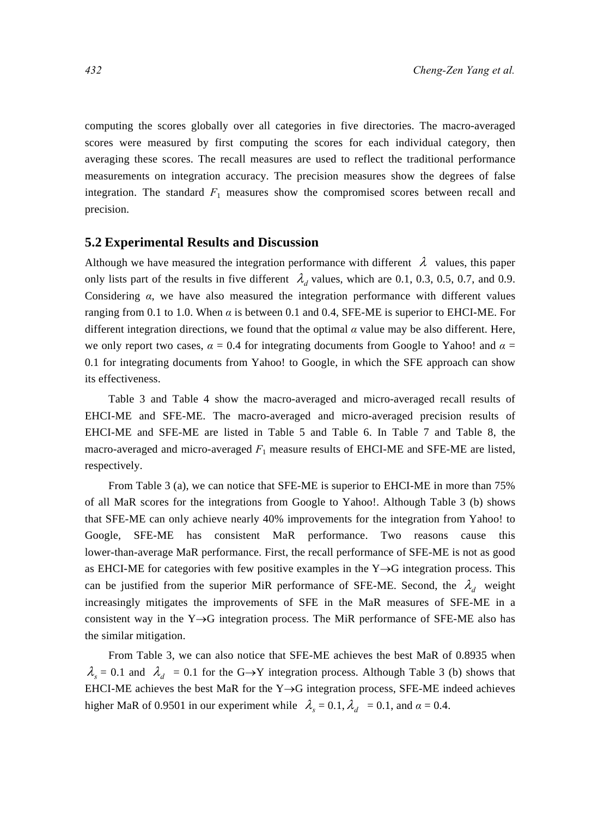computing the scores globally over all categories in five directories. The macro-averaged scores were measured by first computing the scores for each individual category, then averaging these scores. The recall measures are used to reflect the traditional performance measurements on integration accuracy. The precision measures show the degrees of false integration. The standard  $F_1$  measures show the compromised scores between recall and precision.

#### **5.2 Experimental Results and Discussion**

Although we have measured the integration performance with different  $\lambda$  values, this paper only lists part of the results in five different  $\lambda_d$  values, which are 0.1, 0.3, 0.5, 0.7, and 0.9. Considering *α*, we have also measured the integration performance with different values ranging from 0.1 to 1.0. When  $\alpha$  is between 0.1 and 0.4, SFE-ME is superior to EHCI-ME. For different integration directions, we found that the optimal *α* value may be also different. Here, we only report two cases,  $\alpha = 0.4$  for integrating documents from Google to Yahoo! and  $\alpha =$ 0.1 for integrating documents from Yahoo! to Google, in which the SFE approach can show its effectiveness.

Table 3 and Table 4 show the macro-averaged and micro-averaged recall results of EHCI-ME and SFE-ME. The macro-averaged and micro-averaged precision results of EHCI-ME and SFE-ME are listed in Table 5 and Table 6. In Table 7 and Table 8, the macro-averaged and micro-averaged  $F_1$  measure results of EHCI-ME and SFE-ME are listed, respectively.

From Table 3 (a), we can notice that SFE-ME is superior to EHCI-ME in more than 75% of all MaR scores for the integrations from Google to Yahoo!. Although Table 3 (b) shows that SFE-ME can only achieve nearly 40% improvements for the integration from Yahoo! to Google, SFE-ME has consistent MaR performance. Two reasons cause this lower-than-average MaR performance. First, the recall performance of SFE-ME is not as good as EHCI-ME for categories with few positive examples in the Y→G integration process. This can be justified from the superior MiR performance of SFE-ME. Second, the  $\lambda_d$  weight increasingly mitigates the improvements of SFE in the MaR measures of SFE-ME in a consistent way in the Y→G integration process. The MiR performance of SFE-ME also has the similar mitigation.

From Table 3, we can also notice that SFE-ME achieves the best MaR of 0.8935 when  $\lambda<sub>s</sub> = 0.1$  and  $\lambda<sub>d</sub> = 0.1$  for the G→Y integration process. Although Table 3 (b) shows that EHCI-ME achieves the best MaR for the  $Y \rightarrow G$  integration process, SFE-ME indeed achieves higher MaR of 0.9501 in our experiment while  $\lambda_s = 0.1, \lambda_d = 0.1$ , and  $\alpha = 0.4$ .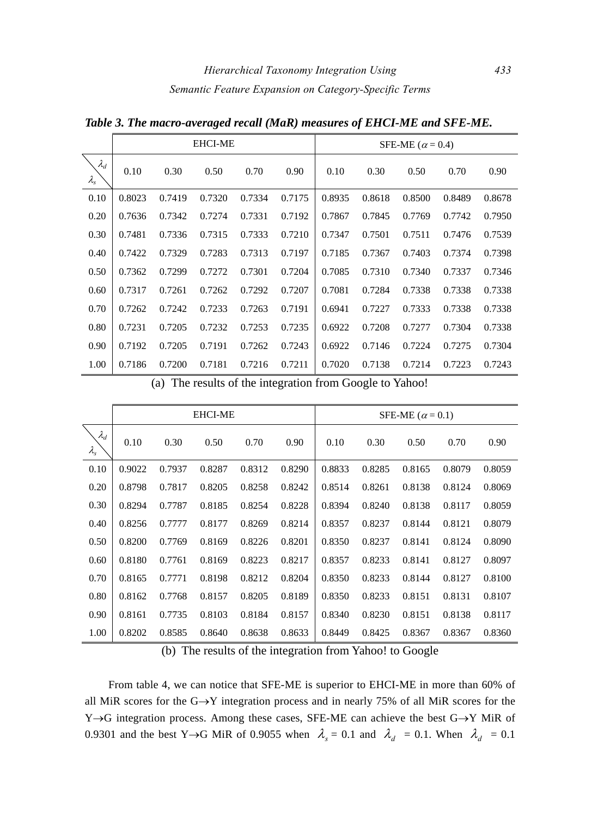|                                  |        |        | <b>EHCI-ME</b> |        |        | SFE-ME ( $\alpha$ = 0.4) |        |        |        |        |  |
|----------------------------------|--------|--------|----------------|--------|--------|--------------------------|--------|--------|--------|--------|--|
| $\lambda_d$<br>$\lambda_{\rm s}$ | 0.10   | 0.30   | 0.50           | 0.70   | 0.90   | 0.10                     | 0.30   | 0.50   | 0.70   | 0.90   |  |
| 0.10                             | 0.8023 | 0.7419 | 0.7320         | 0.7334 | 0.7175 | 0.8935                   | 0.8618 | 0.8500 | 0.8489 | 0.8678 |  |
| 0.20                             | 0.7636 | 0.7342 | 0.7274         | 0.7331 | 0.7192 | 0.7867                   | 0.7845 | 0.7769 | 0.7742 | 0.7950 |  |
| 0.30                             | 0.7481 | 0.7336 | 0.7315         | 0.7333 | 0.7210 | 0.7347                   | 0.7501 | 0.7511 | 0.7476 | 0.7539 |  |
| 0.40                             | 0.7422 | 0.7329 | 0.7283         | 0.7313 | 0.7197 | 0.7185                   | 0.7367 | 0.7403 | 0.7374 | 0.7398 |  |
| 0.50                             | 0.7362 | 0.7299 | 0.7272         | 0.7301 | 0.7204 | 0.7085                   | 0.7310 | 0.7340 | 0.7337 | 0.7346 |  |
| 0.60                             | 0.7317 | 0.7261 | 0.7262         | 0.7292 | 0.7207 | 0.7081                   | 0.7284 | 0.7338 | 0.7338 | 0.7338 |  |
| 0.70                             | 0.7262 | 0.7242 | 0.7233         | 0.7263 | 0.7191 | 0.6941                   | 0.7227 | 0.7333 | 0.7338 | 0.7338 |  |
| 0.80                             | 0.7231 | 0.7205 | 0.7232         | 0.7253 | 0.7235 | 0.6922                   | 0.7208 | 0.7277 | 0.7304 | 0.7338 |  |
| 0.90                             | 0.7192 | 0.7205 | 0.7191         | 0.7262 | 0.7243 | 0.6922                   | 0.7146 | 0.7224 | 0.7275 | 0.7304 |  |
| 1.00                             | 0.7186 | 0.7200 | 0.7181         | 0.7216 | 0.7211 | 0.7020                   | 0.7138 | 0.7214 | 0.7223 | 0.7243 |  |

*Table 3. The macro-averaged recall (MaR) measures of EHCI-ME and SFE-ME.* 

(a) The results of the integration from Google to Yahoo!

|                                  |        |        | <b>EHCI-ME</b> |        |        | SFE-ME ( $\alpha$ = 0.1) |        |        |        |        |  |
|----------------------------------|--------|--------|----------------|--------|--------|--------------------------|--------|--------|--------|--------|--|
| $\lambda_d$<br>$\lambda_{\rm s}$ | 0.10   | 0.30   | 0.50           | 0.70   | 0.90   | 0.10                     | 0.30   | 0.50   | 0.70   | 0.90   |  |
| 0.10                             | 0.9022 | 0.7937 | 0.8287         | 0.8312 | 0.8290 | 0.8833                   | 0.8285 | 0.8165 | 0.8079 | 0.8059 |  |
| 0.20                             | 0.8798 | 0.7817 | 0.8205         | 0.8258 | 0.8242 | 0.8514                   | 0.8261 | 0.8138 | 0.8124 | 0.8069 |  |
| 0.30                             | 0.8294 | 0.7787 | 0.8185         | 0.8254 | 0.8228 | 0.8394                   | 0.8240 | 0.8138 | 0.8117 | 0.8059 |  |
| 0.40                             | 0.8256 | 0.7777 | 0.8177         | 0.8269 | 0.8214 | 0.8357                   | 0.8237 | 0.8144 | 0.8121 | 0.8079 |  |
| 0.50                             | 0.8200 | 0.7769 | 0.8169         | 0.8226 | 0.8201 | 0.8350                   | 0.8237 | 0.8141 | 0.8124 | 0.8090 |  |
| 0.60                             | 0.8180 | 0.7761 | 0.8169         | 0.8223 | 0.8217 | 0.8357                   | 0.8233 | 0.8141 | 0.8127 | 0.8097 |  |
| 0.70                             | 0.8165 | 0.7771 | 0.8198         | 0.8212 | 0.8204 | 0.8350                   | 0.8233 | 0.8144 | 0.8127 | 0.8100 |  |
| 0.80                             | 0.8162 | 0.7768 | 0.8157         | 0.8205 | 0.8189 | 0.8350                   | 0.8233 | 0.8151 | 0.8131 | 0.8107 |  |
| 0.90                             | 0.8161 | 0.7735 | 0.8103         | 0.8184 | 0.8157 | 0.8340                   | 0.8230 | 0.8151 | 0.8138 | 0.8117 |  |
| 1.00                             | 0.8202 | 0.8585 | 0.8640         | 0.8638 | 0.8633 | 0.8449                   | 0.8425 | 0.8367 | 0.8367 | 0.8360 |  |

(b) The results of the integration from Yahoo! to Google

From table 4, we can notice that SFE-ME is superior to EHCI-ME in more than 60% of all MiR scores for the  $G \rightarrow Y$  integration process and in nearly 75% of all MiR scores for the Y→G integration process. Among these cases, SFE-ME can achieve the best G→Y MiR of 0.9301 and the best Y→G MiR of 0.9055 when  $\lambda_s = 0.1$  and  $\lambda_d = 0.1$ . When  $\lambda_d = 0.1$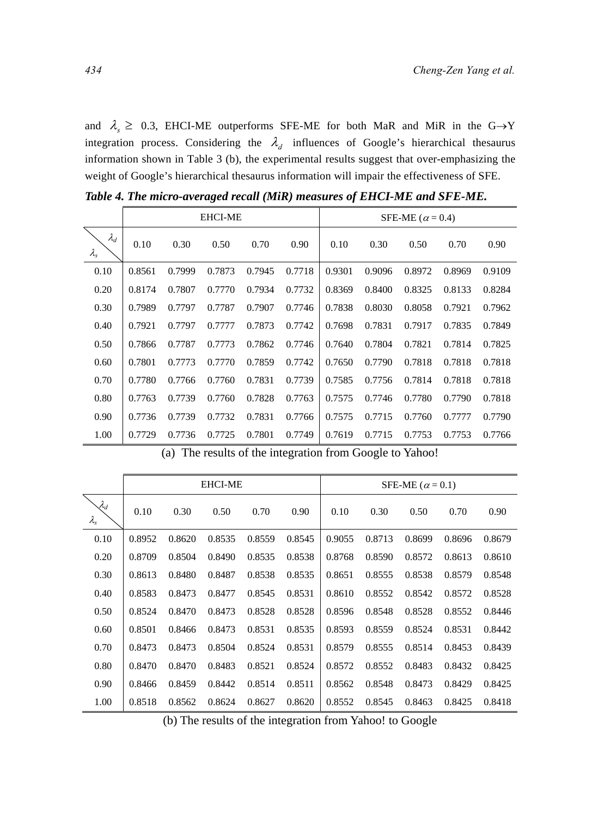and  $\lambda$ <sub>s</sub> ≥ 0.3, EHCI-ME outperforms SFE-ME for both MaR and MiR in the G $\rightarrow$ Y integration process. Considering the  $\lambda_d$  influences of Google's hierarchical thesaurus information shown in Table 3 (b), the experimental results suggest that over-emphasizing the weight of Google's hierarchical thesaurus information will impair the effectiveness of SFE.

|                              |        |        | <b>EHCI-ME</b> |        |        | SFE-ME ( $\alpha$ = 0.4) |        |        |        |        |  |
|------------------------------|--------|--------|----------------|--------|--------|--------------------------|--------|--------|--------|--------|--|
| $\lambda_d$<br>$\lambda_{s}$ | 0.10   | 0.30   | 0.50           | 0.70   | 0.90   | 0.10                     | 0.30   | 0.50   | 0.70   | 0.90   |  |
| 0.10                         | 0.8561 | 0.7999 | 0.7873         | 0.7945 | 0.7718 | 0.9301                   | 0.9096 | 0.8972 | 0.8969 | 0.9109 |  |
| 0.20                         | 0.8174 | 0.7807 | 0.7770         | 0.7934 | 0.7732 | 0.8369                   | 0.8400 | 0.8325 | 0.8133 | 0.8284 |  |
| 0.30                         | 0.7989 | 0.7797 | 0.7787         | 0.7907 | 0.7746 | 0.7838                   | 0.8030 | 0.8058 | 0.7921 | 0.7962 |  |
| 0.40                         | 0.7921 | 0.7797 | 0.7777         | 0.7873 | 0.7742 | 0.7698                   | 0.7831 | 0.7917 | 0.7835 | 0.7849 |  |
| 0.50                         | 0.7866 | 0.7787 | 0.7773         | 0.7862 | 0.7746 | 0.7640                   | 0.7804 | 0.7821 | 0.7814 | 0.7825 |  |
| 0.60                         | 0.7801 | 0.7773 | 0.7770         | 0.7859 | 0.7742 | 0.7650                   | 0.7790 | 0.7818 | 0.7818 | 0.7818 |  |
| 0.70                         | 0.7780 | 0.7766 | 0.7760         | 0.7831 | 0.7739 | 0.7585                   | 0.7756 | 0.7814 | 0.7818 | 0.7818 |  |
| 0.80                         | 0.7763 | 0.7739 | 0.7760         | 0.7828 | 0.7763 | 0.7575                   | 0.7746 | 0.7780 | 0.7790 | 0.7818 |  |
| 0.90                         | 0.7736 | 0.7739 | 0.7732         | 0.7831 | 0.7766 | 0.7575                   | 0.7715 | 0.7760 | 0.7777 | 0.7790 |  |
| 1.00                         | 0.7729 | 0.7736 | 0.7725         | 0.7801 | 0.7749 | 0.7619                   | 0.7715 | 0.7753 | 0.7753 | 0.7766 |  |

*Table 4. The micro-averaged recall (MiR) measures of EHCI-ME and SFE-ME.* 

(a) The results of the integration from Google to Yahoo!

|                                      |        |        | <b>EHCI-ME</b> |        |        | SFE-ME ( $\alpha$ = 0.1) |        |        |        |        |  |
|--------------------------------------|--------|--------|----------------|--------|--------|--------------------------|--------|--------|--------|--------|--|
| $\mathcal{A}_d$<br>$\lambda_{\rm s}$ | 0.10   | 0.30   | 0.50           | 0.70   | 0.90   | 0.10                     | 0.30   | 0.50   | 0.70   | 0.90   |  |
| 0.10                                 | 0.8952 | 0.8620 | 0.8535         | 0.8559 | 0.8545 | 0.9055                   | 0.8713 | 0.8699 | 0.8696 | 0.8679 |  |
| 0.20                                 | 0.8709 | 0.8504 | 0.8490         | 0.8535 | 0.8538 | 0.8768                   | 0.8590 | 0.8572 | 0.8613 | 0.8610 |  |
| 0.30                                 | 0.8613 | 0.8480 | 0.8487         | 0.8538 | 0.8535 | 0.8651                   | 0.8555 | 0.8538 | 0.8579 | 0.8548 |  |
| 0.40                                 | 0.8583 | 0.8473 | 0.8477         | 0.8545 | 0.8531 | 0.8610                   | 0.8552 | 0.8542 | 0.8572 | 0.8528 |  |
| 0.50                                 | 0.8524 | 0.8470 | 0.8473         | 0.8528 | 0.8528 | 0.8596                   | 0.8548 | 0.8528 | 0.8552 | 0.8446 |  |
| 0.60                                 | 0.8501 | 0.8466 | 0.8473         | 0.8531 | 0.8535 | 0.8593                   | 0.8559 | 0.8524 | 0.8531 | 0.8442 |  |
| 0.70                                 | 0.8473 | 0.8473 | 0.8504         | 0.8524 | 0.8531 | 0.8579                   | 0.8555 | 0.8514 | 0.8453 | 0.8439 |  |
| 0.80                                 | 0.8470 | 0.8470 | 0.8483         | 0.8521 | 0.8524 | 0.8572                   | 0.8552 | 0.8483 | 0.8432 | 0.8425 |  |
| 0.90                                 | 0.8466 | 0.8459 | 0.8442         | 0.8514 | 0.8511 | 0.8562                   | 0.8548 | 0.8473 | 0.8429 | 0.8425 |  |
| 1.00                                 | 0.8518 | 0.8562 | 0.8624         | 0.8627 | 0.8620 | 0.8552                   | 0.8545 | 0.8463 | 0.8425 | 0.8418 |  |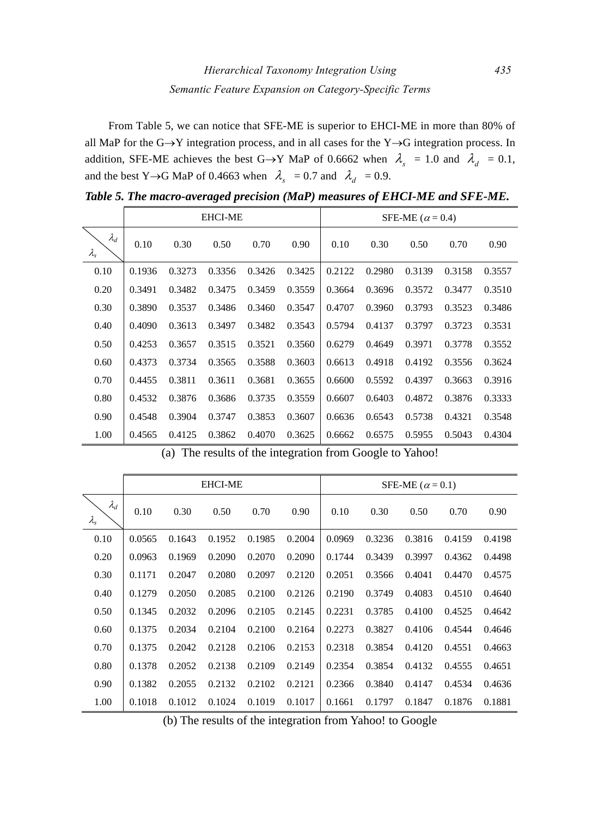From Table 5, we can notice that SFE-ME is superior to EHCI-ME in more than 80% of all MaP for the G→Y integration process, and in all cases for the Y→G integration process. In addition, SFE-ME achieves the best G→Y MaP of 0.6662 when  $\lambda_s = 1.0$  and  $\lambda_d = 0.1$ , and the best Y→G MaP of 0.4663 when  $\lambda_s = 0.7$  and  $\lambda_d = 0.9$ .

|                                  |        |        | <b>EHCI-ME</b> |        |        | SFE-ME ( $\alpha$ = 0.4) |        |        |        |        |  |
|----------------------------------|--------|--------|----------------|--------|--------|--------------------------|--------|--------|--------|--------|--|
| $\lambda_d$<br>$\lambda_{\rm s}$ | 0.10   | 0.30   | 0.50           | 0.70   | 0.90   | 0.10                     | 0.30   | 0.50   | 0.70   | 0.90   |  |
| 0.10                             | 0.1936 | 0.3273 | 0.3356         | 0.3426 | 0.3425 | 0.2122                   | 0.2980 | 0.3139 | 0.3158 | 0.3557 |  |
| 0.20                             | 0.3491 | 0.3482 | 0.3475         | 0.3459 | 0.3559 | 0.3664                   | 0.3696 | 0.3572 | 0.3477 | 0.3510 |  |
| 0.30                             | 0.3890 | 0.3537 | 0.3486         | 0.3460 | 0.3547 | 0.4707                   | 0.3960 | 0.3793 | 0.3523 | 0.3486 |  |
| 0.40                             | 0.4090 | 0.3613 | 0.3497         | 0.3482 | 0.3543 | 0.5794                   | 0.4137 | 0.3797 | 0.3723 | 0.3531 |  |
| 0.50                             | 0.4253 | 0.3657 | 0.3515         | 0.3521 | 0.3560 | 0.6279                   | 0.4649 | 0.3971 | 0.3778 | 0.3552 |  |
| 0.60                             | 0.4373 | 0.3734 | 0.3565         | 0.3588 | 0.3603 | 0.6613                   | 0.4918 | 0.4192 | 0.3556 | 0.3624 |  |
| 0.70                             | 0.4455 | 0.3811 | 0.3611         | 0.3681 | 0.3655 | 0.6600                   | 0.5592 | 0.4397 | 0.3663 | 0.3916 |  |
| 0.80                             | 0.4532 | 0.3876 | 0.3686         | 0.3735 | 0.3559 | 0.6607                   | 0.6403 | 0.4872 | 0.3876 | 0.3333 |  |
| 0.90                             | 0.4548 | 0.3904 | 0.3747         | 0.3853 | 0.3607 | 0.6636                   | 0.6543 | 0.5738 | 0.4321 | 0.3548 |  |
| 1.00                             | 0.4565 | 0.4125 | 0.3862         | 0.4070 | 0.3625 | 0.6662                   | 0.6575 | 0.5955 | 0.5043 | 0.4304 |  |

*Table 5. The macro-averaged precision (MaP) measures of EHCI-ME and SFE-ME.* 

|  | (a) The results of the integration from Google to Yahoo! |  |  |  |
|--|----------------------------------------------------------|--|--|--|
|  |                                                          |  |  |  |

|                                  |        |        | <b>EHCI-ME</b> |        |        | SFE-ME ( $\alpha$ = 0.1) |        |        |        |        |  |
|----------------------------------|--------|--------|----------------|--------|--------|--------------------------|--------|--------|--------|--------|--|
| $\lambda_d$<br>$\lambda_{\rm s}$ | 0.10   | 0.30   | 0.50           | 0.70   | 0.90   | 0.10                     | 0.30   | 0.50   | 0.70   | 0.90   |  |
| 0.10                             | 0.0565 | 0.1643 | 0.1952         | 0.1985 | 0.2004 | 0.0969                   | 0.3236 | 0.3816 | 0.4159 | 0.4198 |  |
| 0.20                             | 0.0963 | 0.1969 | 0.2090         | 0.2070 | 0.2090 | 0.1744                   | 0.3439 | 0.3997 | 0.4362 | 0.4498 |  |
| 0.30                             | 0.1171 | 0.2047 | 0.2080         | 0.2097 | 0.2120 | 0.2051                   | 0.3566 | 0.4041 | 0.4470 | 0.4575 |  |
| 0.40                             | 0.1279 | 0.2050 | 0.2085         | 0.2100 | 0.2126 | 0.2190                   | 0.3749 | 0.4083 | 0.4510 | 0.4640 |  |
| 0.50                             | 0.1345 | 0.2032 | 0.2096         | 0.2105 | 0.2145 | 0.2231                   | 0.3785 | 0.4100 | 0.4525 | 0.4642 |  |
| 0.60                             | 0.1375 | 0.2034 | 0.2104         | 0.2100 | 0.2164 | 0.2273                   | 0.3827 | 0.4106 | 0.4544 | 0.4646 |  |
| 0.70                             | 0.1375 | 0.2042 | 0.2128         | 0.2106 | 0.2153 | 0.2318                   | 0.3854 | 0.4120 | 0.4551 | 0.4663 |  |
| 0.80                             | 0.1378 | 0.2052 | 0.2138         | 0.2109 | 0.2149 | 0.2354                   | 0.3854 | 0.4132 | 0.4555 | 0.4651 |  |
| 0.90                             | 0.1382 | 0.2055 | 0.2132         | 0.2102 | 0.2121 | 0.2366                   | 0.3840 | 0.4147 | 0.4534 | 0.4636 |  |
| 1.00                             | 0.1018 | 0.1012 | 0.1024         | 0.1019 | 0.1017 | 0.1661                   | 0.1797 | 0.1847 | 0.1876 | 0.1881 |  |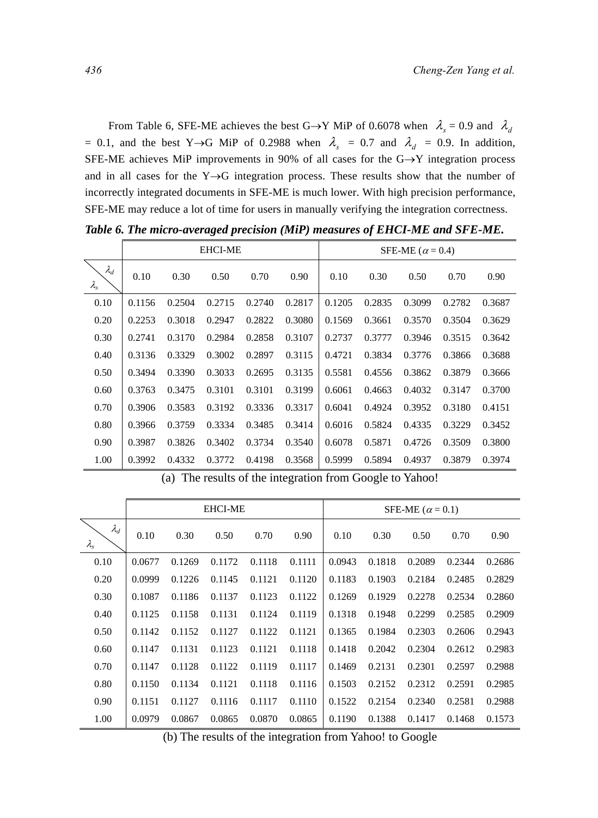From Table 6, SFE-ME achieves the best G→Y MiP of 0.6078 when  $\lambda_s = 0.9$  and  $\lambda_d$ = 0.1, and the best Y→G MiP of 0.2988 when  $\lambda_s$  = 0.7 and  $\lambda_d$  = 0.9. In addition, SFE-ME achieves MiP improvements in 90% of all cases for the G→Y integration process and in all cases for the Y $\rightarrow$ G integration process. These results show that the number of incorrectly integrated documents in SFE-ME is much lower. With high precision performance, SFE-ME may reduce a lot of time for users in manually verifying the integration correctness.

|                              |        |        | <b>EHCI-ME</b> |        |        | SFE-ME ( $\alpha$ = 0.4) |        |        |        |        |  |
|------------------------------|--------|--------|----------------|--------|--------|--------------------------|--------|--------|--------|--------|--|
| $\lambda_d$<br>$\lambda_{s}$ | 0.10   | 0.30   | 0.50           | 0.70   | 0.90   | 0.10                     | 0.30   | 0.50   | 0.70   | 0.90   |  |
| 0.10                         | 0.1156 | 0.2504 | 0.2715         | 0.2740 | 0.2817 | 0.1205                   | 0.2835 | 0.3099 | 0.2782 | 0.3687 |  |
| 0.20                         | 0.2253 | 0.3018 | 0.2947         | 0.2822 | 0.3080 | 0.1569                   | 0.3661 | 0.3570 | 0.3504 | 0.3629 |  |
| 0.30                         | 0.2741 | 0.3170 | 0.2984         | 0.2858 | 0.3107 | 0.2737                   | 0.3777 | 0.3946 | 0.3515 | 0.3642 |  |
| 0.40                         | 0.3136 | 0.3329 | 0.3002         | 0.2897 | 0.3115 | 0.4721                   | 0.3834 | 0.3776 | 0.3866 | 0.3688 |  |
| 0.50                         | 0.3494 | 0.3390 | 0.3033         | 0.2695 | 0.3135 | 0.5581                   | 0.4556 | 0.3862 | 0.3879 | 0.3666 |  |
| 0.60                         | 0.3763 | 0.3475 | 0.3101         | 0.3101 | 0.3199 | 0.6061                   | 0.4663 | 0.4032 | 0.3147 | 0.3700 |  |
| 0.70                         | 0.3906 | 0.3583 | 0.3192         | 0.3336 | 0.3317 | 0.6041                   | 0.4924 | 0.3952 | 0.3180 | 0.4151 |  |
| 0.80                         | 0.3966 | 0.3759 | 0.3334         | 0.3485 | 0.3414 | 0.6016                   | 0.5824 | 0.4335 | 0.3229 | 0.3452 |  |
| 0.90                         | 0.3987 | 0.3826 | 0.3402         | 0.3734 | 0.3540 | 0.6078                   | 0.5871 | 0.4726 | 0.3509 | 0.3800 |  |
| 1.00                         | 0.3992 | 0.4332 | 0.3772         | 0.4198 | 0.3568 | 0.5999                   | 0.5894 | 0.4937 | 0.3879 | 0.3974 |  |

*Table 6. The micro-averaged precision (MiP) measures of EHCI-ME and SFE-ME.* 

|                                  |        |        | <b>EHCI-ME</b> |        |        | SFE-ME ( $\alpha$ = 0.1) |        |        |        |        |  |
|----------------------------------|--------|--------|----------------|--------|--------|--------------------------|--------|--------|--------|--------|--|
| $\lambda_d$<br>$\lambda_{\rm s}$ | 0.10   | 0.30   | 0.50           | 0.70   | 0.90   | 0.10                     | 0.30   | 0.50   | 0.70   | 0.90   |  |
| 0.10                             | 0.0677 | 0.1269 | 0.1172         | 0.1118 | 0.1111 | 0.0943                   | 0.1818 | 0.2089 | 0.2344 | 0.2686 |  |
| 0.20                             | 0.0999 | 0.1226 | 0.1145         | 0.1121 | 0.1120 | 0.1183                   | 0.1903 | 0.2184 | 0.2485 | 0.2829 |  |
| 0.30                             | 0.1087 | 0.1186 | 0.1137         | 0.1123 | 0.1122 | 0.1269                   | 0.1929 | 0.2278 | 0.2534 | 0.2860 |  |
| 0.40                             | 0.1125 | 0.1158 | 0.1131         | 0.1124 | 0.1119 | 0.1318                   | 0.1948 | 0.2299 | 0.2585 | 0.2909 |  |
| 0.50                             | 0.1142 | 0.1152 | 0.1127         | 0.1122 | 0.1121 | 0.1365                   | 0.1984 | 0.2303 | 0.2606 | 0.2943 |  |
| 0.60                             | 0.1147 | 0.1131 | 0.1123         | 0.1121 | 0.1118 | 0.1418                   | 0.2042 | 0.2304 | 0.2612 | 0.2983 |  |
| 0.70                             | 0.1147 | 0.1128 | 0.1122         | 0.1119 | 0.1117 | 0.1469                   | 0.2131 | 0.2301 | 0.2597 | 0.2988 |  |
| 0.80                             | 0.1150 | 0.1134 | 0.1121         | 0.1118 | 0.1116 | 0.1503                   | 0.2152 | 0.2312 | 0.2591 | 0.2985 |  |
| 0.90                             | 0.1151 | 0.1127 | 0.1116         | 0.1117 | 0.1110 | 0.1522                   | 0.2154 | 0.2340 | 0.2581 | 0.2988 |  |
| 1.00                             | 0.0979 | 0.0867 | 0.0865         | 0.0870 | 0.0865 | 0.1190                   | 0.1388 | 0.1417 | 0.1468 | 0.1573 |  |

(a) The results of the integration from Google to Yahoo!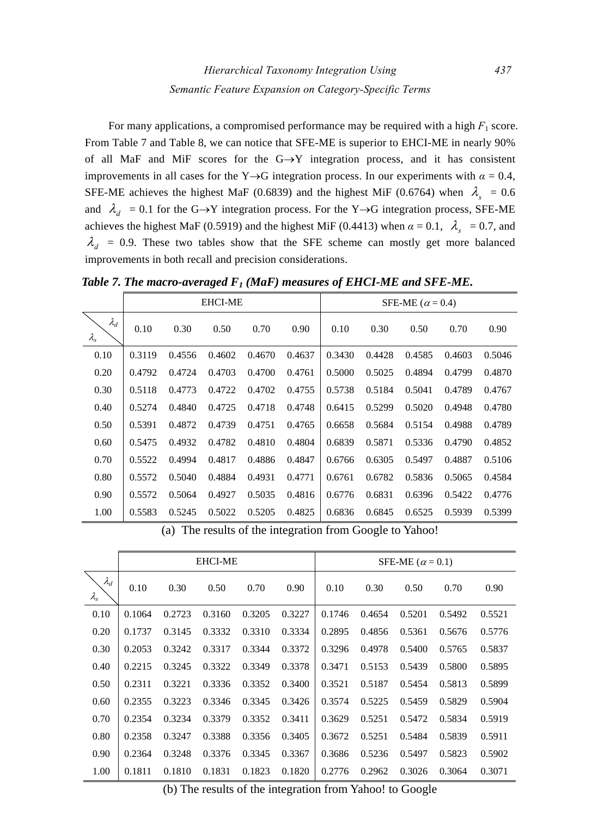For many applications, a compromised performance may be required with a high  $F_1$  score. From Table 7 and Table 8, we can notice that SFE-ME is superior to EHCI-ME in nearly 90% of all MaF and MiF scores for the  $G \rightarrow Y$  integration process, and it has consistent improvements in all cases for the Y $\rightarrow$ G integration process. In our experiments with  $\alpha = 0.4$ , SFE-ME achieves the highest MaF (0.6839) and the highest MiF (0.6764) when  $\lambda<sub>s</sub> = 0.6$ and  $\lambda_d = 0.1$  for the G→Y integration process. For the Y→G integration process, SFE-ME achieves the highest MaF (0.5919) and the highest MiF (0.4413) when  $\alpha = 0.1$ ,  $\lambda_s = 0.7$ , and  $\lambda_d$  = 0.9. These two tables show that the SFE scheme can mostly get more balanced improvements in both recall and precision considerations.

*Table 7. The macro-averaged F1 (MaF) measures of EHCI-ME and SFE-ME.* 

|                                  |        |        | <b>EHCI-ME</b> |        |        | SFE-ME ( $\alpha$ = 0.4) |        |        |        |        |  |
|----------------------------------|--------|--------|----------------|--------|--------|--------------------------|--------|--------|--------|--------|--|
| $\lambda_d$<br>$\lambda_{\rm s}$ | 0.10   | 0.30   | 0.50           | 0.70   | 0.90   | 0.10                     | 0.30   | 0.50   | 0.70   | 0.90   |  |
| 0.10                             | 0.3119 | 0.4556 | 0.4602         | 0.4670 | 0.4637 | 0.3430                   | 0.4428 | 0.4585 | 0.4603 | 0.5046 |  |
| 0.20                             | 0.4792 | 0.4724 | 0.4703         | 0.4700 | 0.4761 | 0.5000                   | 0.5025 | 0.4894 | 0.4799 | 0.4870 |  |
| 0.30                             | 0.5118 | 0.4773 | 0.4722         | 0.4702 | 0.4755 | 0.5738                   | 0.5184 | 0.5041 | 0.4789 | 0.4767 |  |
| 0.40                             | 0.5274 | 0.4840 | 0.4725         | 0.4718 | 0.4748 | 0.6415                   | 0.5299 | 0.5020 | 0.4948 | 0.4780 |  |
| 0.50                             | 0.5391 | 0.4872 | 0.4739         | 0.4751 | 0.4765 | 0.6658                   | 0.5684 | 0.5154 | 0.4988 | 0.4789 |  |
| 0.60                             | 0.5475 | 0.4932 | 0.4782         | 0.4810 | 0.4804 | 0.6839                   | 0.5871 | 0.5336 | 0.4790 | 0.4852 |  |
| 0.70                             | 0.5522 | 0.4994 | 0.4817         | 0.4886 | 0.4847 | 0.6766                   | 0.6305 | 0.5497 | 0.4887 | 0.5106 |  |
| 0.80                             | 0.5572 | 0.5040 | 0.4884         | 0.4931 | 0.4771 | 0.6761                   | 0.6782 | 0.5836 | 0.5065 | 0.4584 |  |
| 0.90                             | 0.5572 | 0.5064 | 0.4927         | 0.5035 | 0.4816 | 0.6776                   | 0.6831 | 0.6396 | 0.5422 | 0.4776 |  |
| 1.00                             | 0.5583 | 0.5245 | 0.5022         | 0.5205 | 0.4825 | 0.6836                   | 0.6845 | 0.6525 | 0.5939 | 0.5399 |  |

(a) The results of the integration from Google to Yahoo!

|                              |        |        | <b>EHCI-ME</b> |        |        | SFE-ME ( $\alpha$ = 0.1) |        |        |        |        |
|------------------------------|--------|--------|----------------|--------|--------|--------------------------|--------|--------|--------|--------|
| $\lambda_d$<br>$\lambda_{s}$ | 0.10   | 0.30   | 0.50           | 0.70   | 0.90   | 0.10                     | 0.30   | 0.50   | 0.70   | 0.90   |
| 0.10                         | 0.1064 | 0.2723 | 0.3160         | 0.3205 | 0.3227 | 0.1746                   | 0.4654 | 0.5201 | 0.5492 | 0.5521 |
| 0.20                         | 0.1737 | 0.3145 | 0.3332         | 0.3310 | 0.3334 | 0.2895                   | 0.4856 | 0.5361 | 0.5676 | 0.5776 |
| 0.30                         | 0.2053 | 0.3242 | 0.3317         | 0.3344 | 0.3372 | 0.3296                   | 0.4978 | 0.5400 | 0.5765 | 0.5837 |
| 0.40                         | 0.2215 | 0.3245 | 0.3322         | 0.3349 | 0.3378 | 0.3471                   | 0.5153 | 0.5439 | 0.5800 | 0.5895 |
| 0.50                         | 0.2311 | 0.3221 | 0.3336         | 0.3352 | 0.3400 | 0.3521                   | 0.5187 | 0.5454 | 0.5813 | 0.5899 |
| 0.60                         | 0.2355 | 0.3223 | 0.3346         | 0.3345 | 0.3426 | 0.3574                   | 0.5225 | 0.5459 | 0.5829 | 0.5904 |
| 0.70                         | 0.2354 | 0.3234 | 0.3379         | 0.3352 | 0.3411 | 0.3629                   | 0.5251 | 0.5472 | 0.5834 | 0.5919 |
| 0.80                         | 0.2358 | 0.3247 | 0.3388         | 0.3356 | 0.3405 | 0.3672                   | 0.5251 | 0.5484 | 0.5839 | 0.5911 |
| 0.90                         | 0.2364 | 0.3248 | 0.3376         | 0.3345 | 0.3367 | 0.3686                   | 0.5236 | 0.5497 | 0.5823 | 0.5902 |
| 1.00                         | 0.1811 | 0.1810 | 0.1831         | 0.1823 | 0.1820 | 0.2776                   | 0.2962 | 0.3026 | 0.3064 | 0.3071 |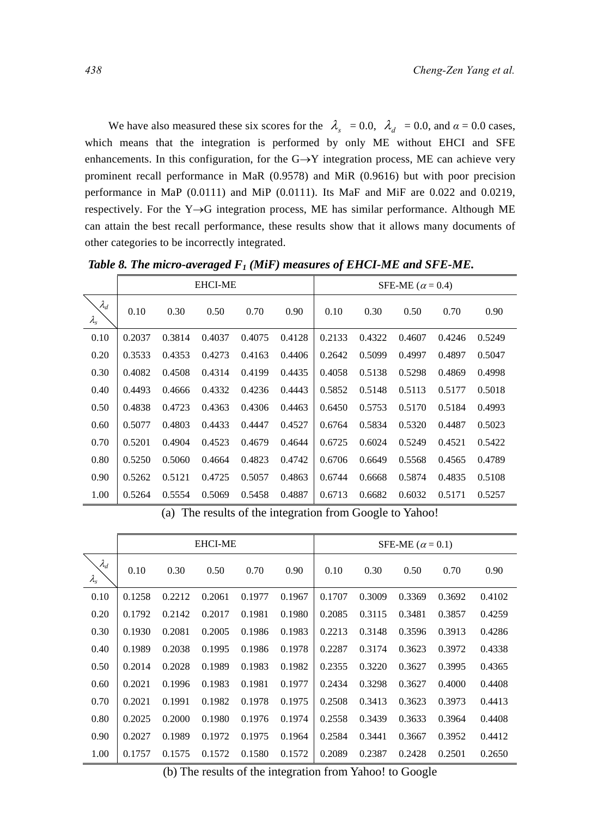We have also measured these six scores for the  $\lambda_s = 0.0$ ,  $\lambda_d = 0.0$ , and  $\alpha = 0.0$  cases, which means that the integration is performed by only ME without EHCI and SFE enhancements. In this configuration, for the  $G \rightarrow Y$  integration process, ME can achieve very prominent recall performance in MaR (0.9578) and MiR (0.9616) but with poor precision performance in MaP (0.0111) and MiP (0.0111). Its MaF and MiF are 0.022 and 0.0219, respectively. For the Y→G integration process, ME has similar performance. Although ME can attain the best recall performance, these results show that it allows many documents of other categories to be incorrectly integrated.

|                                  |        |        | <b>EHCI-ME</b> |        |        | SFE-ME ( $\alpha$ = 0.4) |        |        |        |        |
|----------------------------------|--------|--------|----------------|--------|--------|--------------------------|--------|--------|--------|--------|
| $\lambda_d$<br>$\lambda_{\rm s}$ | 0.10   | 0.30   | 0.50           | 0.70   | 0.90   | 0.10                     | 0.30   | 0.50   | 0.70   | 0.90   |
| 0.10                             | 0.2037 | 0.3814 | 0.4037         | 0.4075 | 0.4128 | 0.2133                   | 0.4322 | 0.4607 | 0.4246 | 0.5249 |
| 0.20                             | 0.3533 | 0.4353 | 0.4273         | 0.4163 | 0.4406 | 0.2642                   | 0.5099 | 0.4997 | 0.4897 | 0.5047 |
| 0.30                             | 0.4082 | 0.4508 | 0.4314         | 0.4199 | 0.4435 | 0.4058                   | 0.5138 | 0.5298 | 0.4869 | 0.4998 |
| 0.40                             | 0.4493 | 0.4666 | 0.4332         | 0.4236 | 0.4443 | 0.5852                   | 0.5148 | 0.5113 | 0.5177 | 0.5018 |
| 0.50                             | 0.4838 | 0.4723 | 0.4363         | 0.4306 | 0.4463 | 0.6450                   | 0.5753 | 0.5170 | 0.5184 | 0.4993 |
| 0.60                             | 0.5077 | 0.4803 | 0.4433         | 0.4447 | 0.4527 | 0.6764                   | 0.5834 | 0.5320 | 0.4487 | 0.5023 |
| 0.70                             | 0.5201 | 0.4904 | 0.4523         | 0.4679 | 0.4644 | 0.6725                   | 0.6024 | 0.5249 | 0.4521 | 0.5422 |
| 0.80                             | 0.5250 | 0.5060 | 0.4664         | 0.4823 | 0.4742 | 0.6706                   | 0.6649 | 0.5568 | 0.4565 | 0.4789 |
| 0.90                             | 0.5262 | 0.5121 | 0.4725         | 0.5057 | 0.4863 | 0.6744                   | 0.6668 | 0.5874 | 0.4835 | 0.5108 |
| 1.00                             | 0.5264 | 0.5554 | 0.5069         | 0.5458 | 0.4887 | 0.6713                   | 0.6682 | 0.6032 | 0.5171 | 0.5257 |

*Table 8. The micro-averaged F1 (MiF) measures of EHCI-ME and SFE-ME.* 

(a) The results of the integration from Google to Yahoo!

|                                  |        |        | <b>EHCI-ME</b> |        |        | SFE-ME ( $\alpha$ = 0.1) |        |        |        |        |
|----------------------------------|--------|--------|----------------|--------|--------|--------------------------|--------|--------|--------|--------|
| $\lambda_d$<br>$\lambda_{\rm s}$ | 0.10   | 0.30   | 0.50           | 0.70   | 0.90   | 0.10                     | 0.30   | 0.50   | 0.70   | 0.90   |
| 0.10                             | 0.1258 | 0.2212 | 0.2061         | 0.1977 | 0.1967 | 0.1707                   | 0.3009 | 0.3369 | 0.3692 | 0.4102 |
| 0.20                             | 0.1792 | 0.2142 | 0.2017         | 0.1981 | 0.1980 | 0.2085                   | 0.3115 | 0.3481 | 0.3857 | 0.4259 |
| 0.30                             | 0.1930 | 0.2081 | 0.2005         | 0.1986 | 0.1983 | 0.2213                   | 0.3148 | 0.3596 | 0.3913 | 0.4286 |
| 0.40                             | 0.1989 | 0.2038 | 0.1995         | 0.1986 | 0.1978 | 0.2287                   | 0.3174 | 0.3623 | 0.3972 | 0.4338 |
| 0.50                             | 0.2014 | 0.2028 | 0.1989         | 0.1983 | 0.1982 | 0.2355                   | 0.3220 | 0.3627 | 0.3995 | 0.4365 |
| 0.60                             | 0.2021 | 0.1996 | 0.1983         | 0.1981 | 0.1977 | 0.2434                   | 0.3298 | 0.3627 | 0.4000 | 0.4408 |
| 0.70                             | 0.2021 | 0.1991 | 0.1982         | 0.1978 | 0.1975 | 0.2508                   | 0.3413 | 0.3623 | 0.3973 | 0.4413 |
| 0.80                             | 0.2025 | 0.2000 | 0.1980         | 0.1976 | 0.1974 | 0.2558                   | 0.3439 | 0.3633 | 0.3964 | 0.4408 |
| 0.90                             | 0.2027 | 0.1989 | 0.1972         | 0.1975 | 0.1964 | 0.2584                   | 0.3441 | 0.3667 | 0.3952 | 0.4412 |
| 1.00                             | 0.1757 | 0.1575 | 0.1572         | 0.1580 | 0.1572 | 0.2089                   | 0.2387 | 0.2428 | 0.2501 | 0.2650 |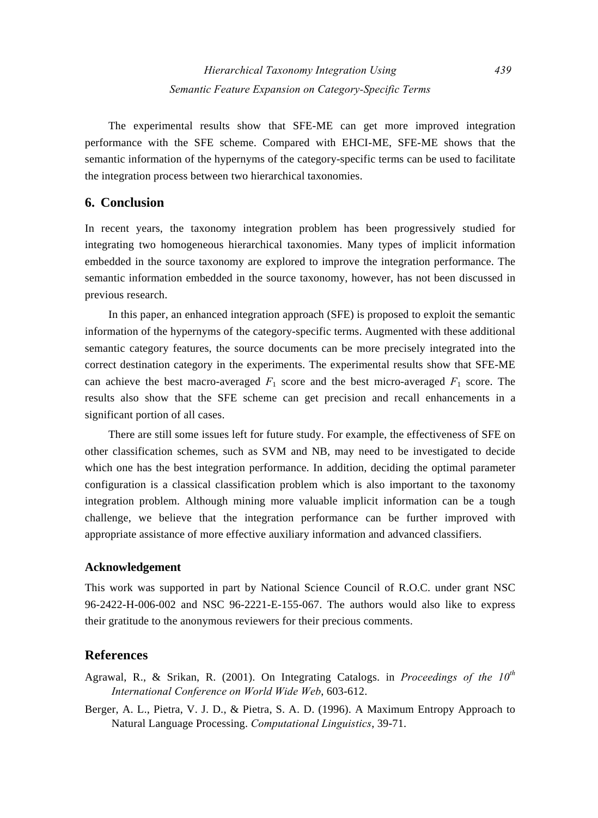The experimental results show that SFE-ME can get more improved integration performance with the SFE scheme. Compared with EHCI-ME, SFE-ME shows that the semantic information of the hypernyms of the category-specific terms can be used to facilitate the integration process between two hierarchical taxonomies.

# **6. Conclusion**

In recent years, the taxonomy integration problem has been progressively studied for integrating two homogeneous hierarchical taxonomies. Many types of implicit information embedded in the source taxonomy are explored to improve the integration performance. The semantic information embedded in the source taxonomy, however, has not been discussed in previous research.

In this paper, an enhanced integration approach (SFE) is proposed to exploit the semantic information of the hypernyms of the category-specific terms. Augmented with these additional semantic category features, the source documents can be more precisely integrated into the correct destination category in the experiments. The experimental results show that SFE-ME can achieve the best macro-averaged  $F_1$  score and the best micro-averaged  $F_1$  score. The results also show that the SFE scheme can get precision and recall enhancements in a significant portion of all cases.

There are still some issues left for future study. For example, the effectiveness of SFE on other classification schemes, such as SVM and NB, may need to be investigated to decide which one has the best integration performance. In addition, deciding the optimal parameter configuration is a classical classification problem which is also important to the taxonomy integration problem. Although mining more valuable implicit information can be a tough challenge, we believe that the integration performance can be further improved with appropriate assistance of more effective auxiliary information and advanced classifiers.

#### **Acknowledgement**

This work was supported in part by National Science Council of R.O.C. under grant NSC 96-2422-H-006-002 and NSC 96-2221-E-155-067. The authors would also like to express their gratitude to the anonymous reviewers for their precious comments.

# **References**

- Agrawal, R., & Srikan, R. (2001). On Integrating Catalogs. in *Proceedings of the 10th International Conference on World Wide Web*, 603-612.
- Berger, A. L., Pietra, V. J. D., & Pietra, S. A. D. (1996). A Maximum Entropy Approach to Natural Language Processing. *Computational Linguistics*, 39-71.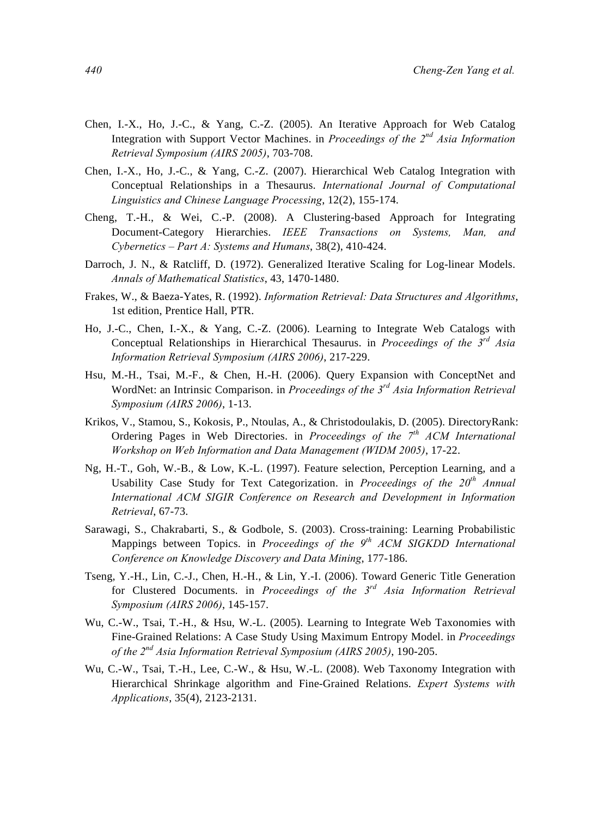- Chen, I.-X., Ho, J.-C., & Yang, C.-Z. (2005). An Iterative Approach for Web Catalog Integration with Support Vector Machines. in *Proceedings of the 2nd Asia Information Retrieval Symposium (AIRS 2005)*, 703-708.
- Chen, I.-X., Ho, J.-C., & Yang, C.-Z. (2007). Hierarchical Web Catalog Integration with Conceptual Relationships in a Thesaurus. *International Journal of Computational Linguistics and Chinese Language Processing*, 12(2), 155-174.
- Cheng, T.-H., & Wei, C.-P. (2008). A Clustering-based Approach for Integrating Document-Category Hierarchies. *IEEE Transactions on Systems, Man, and Cybernetics – Part A: Systems and Humans*, 38(2), 410-424.
- Darroch, J. N., & Ratcliff, D. (1972). Generalized Iterative Scaling for Log-linear Models. *Annals of Mathematical Statistics*, 43, 1470-1480.
- Frakes, W., & Baeza-Yates, R. (1992). *Information Retrieval: Data Structures and Algorithms*, 1st edition, Prentice Hall, PTR.
- Ho, J.-C., Chen, I.-X., & Yang, C.-Z. (2006). Learning to Integrate Web Catalogs with Conceptual Relationships in Hierarchical Thesaurus. in *Proceedings of the 3rd Asia Information Retrieval Symposium (AIRS 2006)*, 217-229.
- Hsu, M.-H., Tsai, M.-F., & Chen, H.-H. (2006). Query Expansion with ConceptNet and WordNet: an Intrinsic Comparison. in *Proceedings of the 3rd Asia Information Retrieval Symposium (AIRS 2006)*, 1-13.
- Krikos, V., Stamou, S., Kokosis, P., Ntoulas, A., & Christodoulakis, D. (2005). DirectoryRank: Ordering Pages in Web Directories. in *Proceedings of the 7th ACM International Workshop on Web Information and Data Management (WIDM 2005)*, 17-22.
- Ng, H.-T., Goh, W.-B., & Low, K.-L. (1997). Feature selection, Perception Learning, and a Usability Case Study for Text Categorization. in *Proceedings of the 20th Annual International ACM SIGIR Conference on Research and Development in Information Retrieval*, 67-73.
- Sarawagi, S., Chakrabarti, S., & Godbole, S. (2003). Cross-training: Learning Probabilistic Mappings between Topics. in *Proceedings of the 9th ACM SIGKDD International Conference on Knowledge Discovery and Data Mining*, 177-186.
- Tseng, Y.-H., Lin, C.-J., Chen, H.-H., & Lin, Y.-I. (2006). Toward Generic Title Generation for Clustered Documents. in *Proceedings of the 3rd Asia Information Retrieval Symposium (AIRS 2006)*, 145-157.
- Wu, C.-W., Tsai, T.-H., & Hsu, W.-L. (2005). Learning to Integrate Web Taxonomies with Fine-Grained Relations: A Case Study Using Maximum Entropy Model. in *Proceedings of the 2nd Asia Information Retrieval Symposium (AIRS 2005)*, 190-205.
- Wu, C.-W., Tsai, T.-H., Lee, C.-W., & Hsu, W.-L. (2008). Web Taxonomy Integration with Hierarchical Shrinkage algorithm and Fine-Grained Relations. *Expert Systems with Applications*, 35(4), 2123-2131.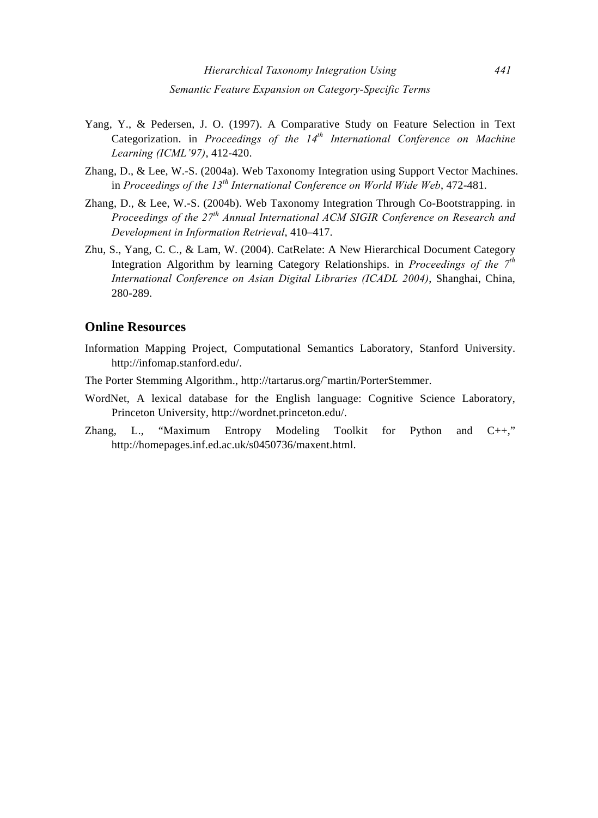- Yang, Y., & Pedersen, J. O. (1997). A Comparative Study on Feature Selection in Text Categorization. in *Proceedings of the 14th International Conference on Machine Learning (ICML'97)*, 412-420.
- Zhang, D., & Lee, W.-S. (2004a). Web Taxonomy Integration using Support Vector Machines. in *Proceedings of the 13th International Conference on World Wide Web*, 472-481.
- Zhang, D., & Lee, W.-S. (2004b). Web Taxonomy Integration Through Co-Bootstrapping. in *Proceedings of the 27th Annual International ACM SIGIR Conference on Research and Development in Information Retrieval*, 410–417.
- Zhu, S., Yang, C. C., & Lam, W. (2004). CatRelate: A New Hierarchical Document Category Integration Algorithm by learning Category Relationships. in *Proceedings of the 7th International Conference on Asian Digital Libraries (ICADL 2004)*, Shanghai, China, 280-289.

## **Online Resources**

- Information Mapping Project, Computational Semantics Laboratory, Stanford University. http://infomap.stanford.edu/.
- The Porter Stemming Algorithm., http://tartarus.org/˜martin/PorterStemmer.
- WordNet, A lexical database for the English language: Cognitive Science Laboratory, Princeton University, http://wordnet.princeton.edu/.
- Zhang, L., "Maximum Entropy Modeling Toolkit for Python and C++," http://homepages.inf.ed.ac.uk/s0450736/maxent.html.